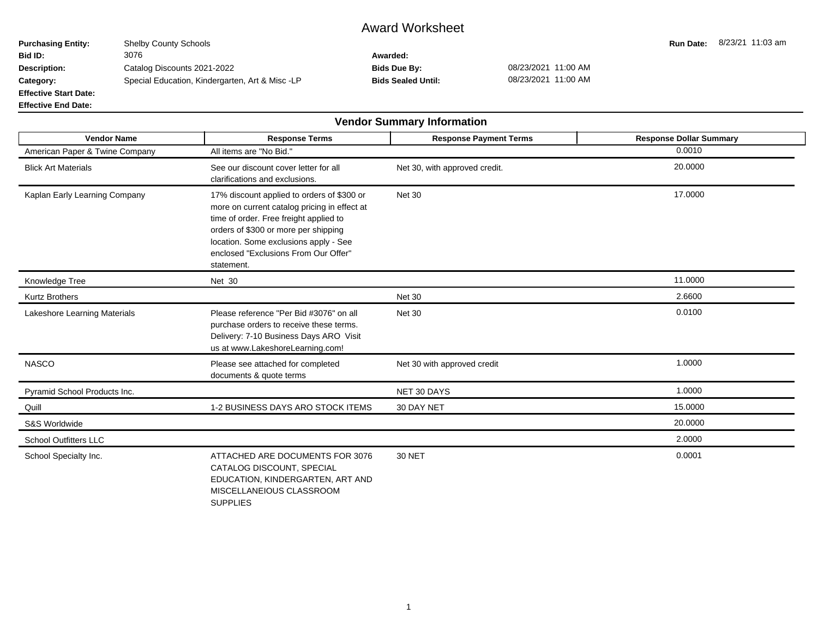## Award Worksheet

**Purchasing Entity:** Shelby County Schools **Run Date: 8/23/21 11:03 am**<br> **Run Date:** 8/23/21 11:03 am<br> **Rid ID:** 3076 **Bid ID:** 3076 **Awarded: Description:** Catalog Discounts 2021-2022 **Bids Due By:** 08/23/2021 11:00 AM **Category:** Special Education, Kindergarten, Art & Misc -LP **Bids Sealed Until:** 08/23/2021 11:00 AM **Effective Start Date:**

**Effective End Date:**

 $\blacksquare$ 

 $\blacksquare$ 

|                                |                                                                                                                                                                                                                                                                             | <b>Vendor Summary Information</b> |                                |
|--------------------------------|-----------------------------------------------------------------------------------------------------------------------------------------------------------------------------------------------------------------------------------------------------------------------------|-----------------------------------|--------------------------------|
| <b>Vendor Name</b>             | <b>Response Terms</b>                                                                                                                                                                                                                                                       | <b>Response Payment Terms</b>     | <b>Response Dollar Summary</b> |
| American Paper & Twine Company | All items are "No Bid."                                                                                                                                                                                                                                                     |                                   | 0.0010                         |
| <b>Blick Art Materials</b>     | See our discount cover letter for all<br>clarifications and exclusions.                                                                                                                                                                                                     | Net 30, with approved credit.     | 20.0000                        |
| Kaplan Early Learning Company  | 17% discount applied to orders of \$300 or<br>more on current catalog pricing in effect at<br>time of order. Free freight applied to<br>orders of \$300 or more per shipping<br>location. Some exclusions apply - See<br>enclosed "Exclusions From Our Offer"<br>statement. | <b>Net 30</b>                     | 17.0000                        |
| Knowledge Tree                 | Net 30                                                                                                                                                                                                                                                                      |                                   | 11.0000                        |
| <b>Kurtz Brothers</b>          |                                                                                                                                                                                                                                                                             | <b>Net 30</b>                     | 2.6600                         |
| Lakeshore Learning Materials   | Please reference "Per Bid #3076" on all<br>purchase orders to receive these terms.<br>Delivery: 7-10 Business Days ARO Visit<br>us at www.LakeshoreLearning.com!                                                                                                            | <b>Net 30</b>                     | 0.0100                         |
| <b>NASCO</b>                   | Please see attached for completed<br>documents & quote terms                                                                                                                                                                                                                | Net 30 with approved credit       | 1.0000                         |
| Pyramid School Products Inc.   |                                                                                                                                                                                                                                                                             | NET 30 DAYS                       | 1.0000                         |
| Quill                          | 1-2 BUSINESS DAYS ARO STOCK ITEMS                                                                                                                                                                                                                                           | 30 DAY NET                        | 15.0000                        |
| S&S Worldwide                  |                                                                                                                                                                                                                                                                             |                                   | 20.0000                        |
| <b>School Outfitters LLC</b>   |                                                                                                                                                                                                                                                                             |                                   | 2.0000                         |
| School Specialty Inc.          | ATTACHED ARE DOCUMENTS FOR 3076<br>CATALOG DISCOUNT, SPECIAL<br>EDUCATION, KINDERGARTEN, ART AND<br>MISCELLANEIOUS CLASSROOM<br><b>SUPPLIES</b>                                                                                                                             | <b>30 NET</b>                     | 0.0001                         |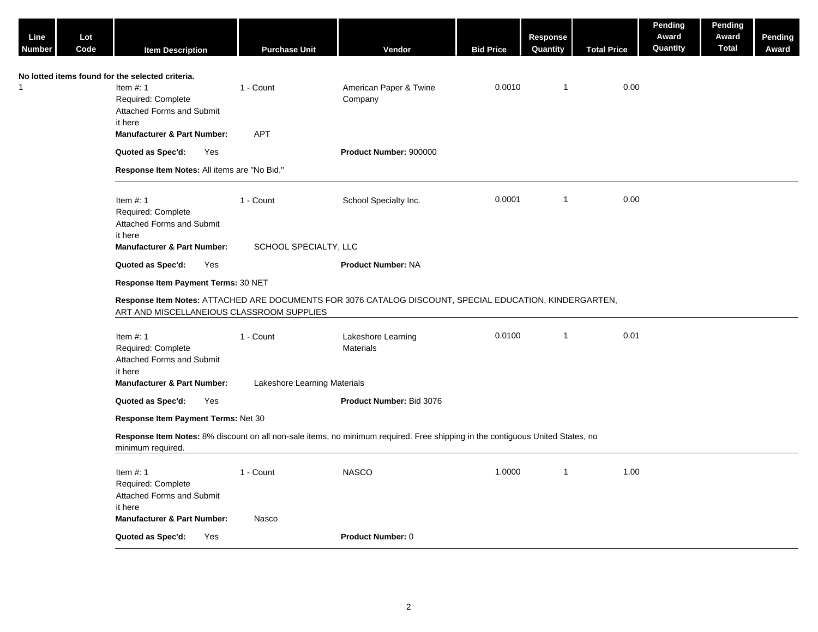| Line<br>Number                                   | Lot<br>Code | <b>Item Description</b>                                                                                             | <b>Purchase Unit</b>                      | Vendor                                                                                                                         | <b>Bid Price</b> | Response<br>Quantity | <b>Total Price</b> | Pending<br>Award<br>Quantity | Pending<br>Award<br><b>Total</b> | Pending<br>Award |
|--------------------------------------------------|-------------|---------------------------------------------------------------------------------------------------------------------|-------------------------------------------|--------------------------------------------------------------------------------------------------------------------------------|------------------|----------------------|--------------------|------------------------------|----------------------------------|------------------|
| No lotted items found for the selected criteria. |             | Item $#: 1$<br>Required: Complete<br><b>Attached Forms and Submit</b><br>it here                                    | 1 - Count                                 | American Paper & Twine<br>Company                                                                                              | 0.0010           | $\overline{1}$       | 0.00               |                              |                                  |                  |
|                                                  |             | <b>Manufacturer &amp; Part Number:</b>                                                                              | <b>APT</b>                                |                                                                                                                                |                  |                      |                    |                              |                                  |                  |
|                                                  |             | Quoted as Spec'd:<br>Yes                                                                                            |                                           | Product Number: 900000                                                                                                         |                  |                      |                    |                              |                                  |                  |
|                                                  |             | Response Item Notes: All items are "No Bid."                                                                        |                                           |                                                                                                                                |                  |                      |                    |                              |                                  |                  |
|                                                  |             |                                                                                                                     |                                           |                                                                                                                                |                  |                      |                    |                              |                                  |                  |
|                                                  |             | Item $#: 1$<br>Required: Complete<br>Attached Forms and Submit<br>it here                                           | 1 - Count                                 | School Specialty Inc.                                                                                                          | 0.0001           | $\overline{1}$       | 0.00               |                              |                                  |                  |
|                                                  |             | <b>Manufacturer &amp; Part Number:</b>                                                                              | SCHOOL SPECIALTY, LLC                     |                                                                                                                                |                  |                      |                    |                              |                                  |                  |
|                                                  |             | Quoted as Spec'd:<br>Yes                                                                                            |                                           | <b>Product Number: NA</b>                                                                                                      |                  |                      |                    |                              |                                  |                  |
|                                                  |             | Response Item Payment Terms: 30 NET                                                                                 |                                           |                                                                                                                                |                  |                      |                    |                              |                                  |                  |
|                                                  |             | ART AND MISCELLANEIOUS CLASSROOM SUPPLIES                                                                           |                                           | Response Item Notes: ATTACHED ARE DOCUMENTS FOR 3076 CATALOG DISCOUNT, SPECIAL EDUCATION, KINDERGARTEN,                        |                  |                      |                    |                              |                                  |                  |
|                                                  |             | Item $#: 1$<br>Required: Complete<br>Attached Forms and Submit<br>it here<br><b>Manufacturer &amp; Part Number:</b> | 1 - Count<br>Lakeshore Learning Materials | Lakeshore Learning<br>Materials                                                                                                | 0.0100           | $\overline{1}$       | 0.01               |                              |                                  |                  |
|                                                  |             | Quoted as Spec'd:<br>Yes                                                                                            |                                           | Product Number: Bid 3076                                                                                                       |                  |                      |                    |                              |                                  |                  |
|                                                  |             | Response Item Payment Terms: Net 30                                                                                 |                                           |                                                                                                                                |                  |                      |                    |                              |                                  |                  |
|                                                  |             | minimum required.                                                                                                   |                                           | Response Item Notes: 8% discount on all non-sale items, no minimum required. Free shipping in the contiguous United States, no |                  |                      |                    |                              |                                  |                  |
|                                                  |             | Item $#: 1$<br>Required: Complete<br>Attached Forms and Submit<br>it here                                           | 1 - Count                                 | <b>NASCO</b>                                                                                                                   | 1.0000           | $\overline{1}$       | 1.00               |                              |                                  |                  |
|                                                  |             | <b>Manufacturer &amp; Part Number:</b>                                                                              | Nasco                                     |                                                                                                                                |                  |                      |                    |                              |                                  |                  |
|                                                  |             | Quoted as Spec'd:<br>Yes                                                                                            |                                           | <b>Product Number: 0</b>                                                                                                       |                  |                      |                    |                              |                                  |                  |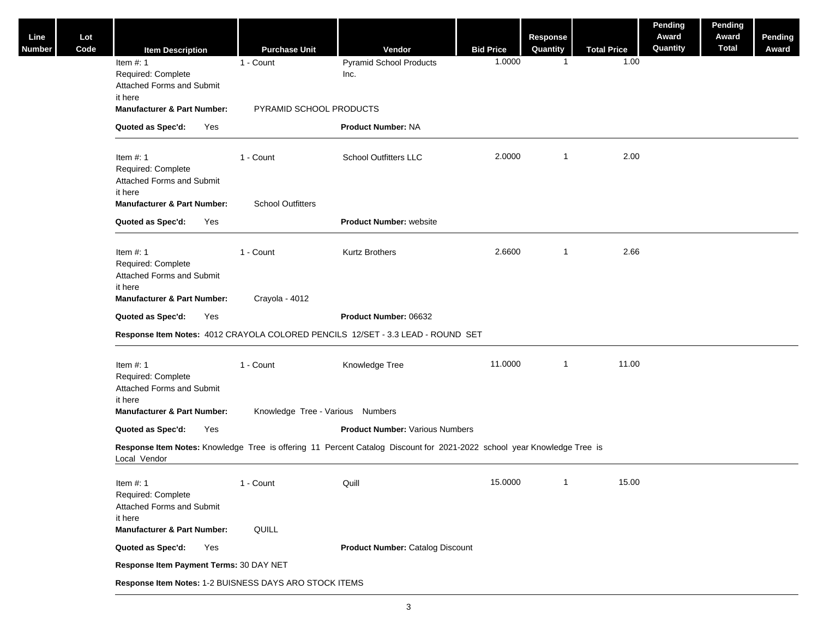| Code                   |                                                                            |     | <b>Purchase Unit</b>                                   | Vendor                                                                                                                  |                            | <b>Response</b><br>Quantity | <b>Total Price</b> | Pending<br>Award<br>Quantity | Pending<br>Award<br><b>Total</b> | Pending<br>Award |
|------------------------|----------------------------------------------------------------------------|-----|--------------------------------------------------------|-------------------------------------------------------------------------------------------------------------------------|----------------------------|-----------------------------|--------------------|------------------------------|----------------------------------|------------------|
| Item $#: 1$            | <b>Item Description</b><br>Required: Complete<br>Attached Forms and Submit |     | 1 - Count                                              | <b>Pyramid School Products</b><br>Inc.                                                                                  | <b>Bid Price</b><br>1.0000 | -1                          | 1.00               |                              |                                  |                  |
| it here                | <b>Manufacturer &amp; Part Number:</b>                                     |     | PYRAMID SCHOOL PRODUCTS                                |                                                                                                                         |                            |                             |                    |                              |                                  |                  |
|                        | Quoted as Spec'd:                                                          | Yes |                                                        | <b>Product Number: NA</b>                                                                                               |                            |                             |                    |                              |                                  |                  |
| Item $#: 1$<br>it here | Required: Complete<br>Attached Forms and Submit                            |     | 1 - Count                                              | <b>School Outfitters LLC</b>                                                                                            | 2.0000                     | $\overline{\mathbf{1}}$     | 2.00               |                              |                                  |                  |
|                        | <b>Manufacturer &amp; Part Number:</b>                                     |     | <b>School Outfitters</b>                               |                                                                                                                         |                            |                             |                    |                              |                                  |                  |
|                        | Quoted as Spec'd:                                                          | Yes |                                                        | <b>Product Number: website</b>                                                                                          |                            |                             |                    |                              |                                  |                  |
| Item $#: 1$<br>it here | Required: Complete<br>Attached Forms and Submit                            |     | 1 - Count                                              | <b>Kurtz Brothers</b>                                                                                                   | 2.6600                     | -1                          | 2.66               |                              |                                  |                  |
|                        | <b>Manufacturer &amp; Part Number:</b>                                     |     | Crayola - 4012                                         |                                                                                                                         |                            |                             |                    |                              |                                  |                  |
|                        | Quoted as Spec'd:                                                          | Yes |                                                        | Product Number: 06632                                                                                                   |                            |                             |                    |                              |                                  |                  |
|                        |                                                                            |     |                                                        | Response Item Notes: 4012 CRAYOLA COLORED PENCILS 12/SET - 3.3 LEAD - ROUND SET                                         |                            |                             |                    |                              |                                  |                  |
| Item $#: 1$<br>it here | Required: Complete<br>Attached Forms and Submit                            |     | 1 - Count                                              | Knowledge Tree                                                                                                          | 11.0000                    | $\overline{1}$              | 11.00              |                              |                                  |                  |
|                        | <b>Manufacturer &amp; Part Number:</b>                                     |     | Knowledge Tree - Various Numbers                       |                                                                                                                         |                            |                             |                    |                              |                                  |                  |
|                        | Quoted as Spec'd:                                                          | Yes |                                                        | <b>Product Number: Various Numbers</b>                                                                                  |                            |                             |                    |                              |                                  |                  |
| Local Vendor           |                                                                            |     |                                                        | Response Item Notes: Knowledge Tree is offering 11 Percent Catalog Discount for 2021-2022 school year Knowledge Tree is |                            |                             |                    |                              |                                  |                  |
| Item $#: 1$<br>it here | Required: Complete<br><b>Attached Forms and Submit</b>                     |     | 1 - Count                                              | Quill                                                                                                                   | 15.0000                    | $\overline{1}$              | 15.00              |                              |                                  |                  |
|                        | <b>Manufacturer &amp; Part Number:</b>                                     |     | QUILL                                                  |                                                                                                                         |                            |                             |                    |                              |                                  |                  |
|                        | Quoted as Spec'd:                                                          | Yes |                                                        | <b>Product Number: Catalog Discount</b>                                                                                 |                            |                             |                    |                              |                                  |                  |
|                        | Response Item Payment Terms: 30 DAY NET                                    |     |                                                        |                                                                                                                         |                            |                             |                    |                              |                                  |                  |
|                        |                                                                            |     | Response Item Notes: 1-2 BUISNESS DAYS ARO STOCK ITEMS |                                                                                                                         |                            |                             |                    |                              |                                  |                  |
|                        |                                                                            |     |                                                        |                                                                                                                         |                            |                             |                    |                              |                                  |                  |

**Line Number**